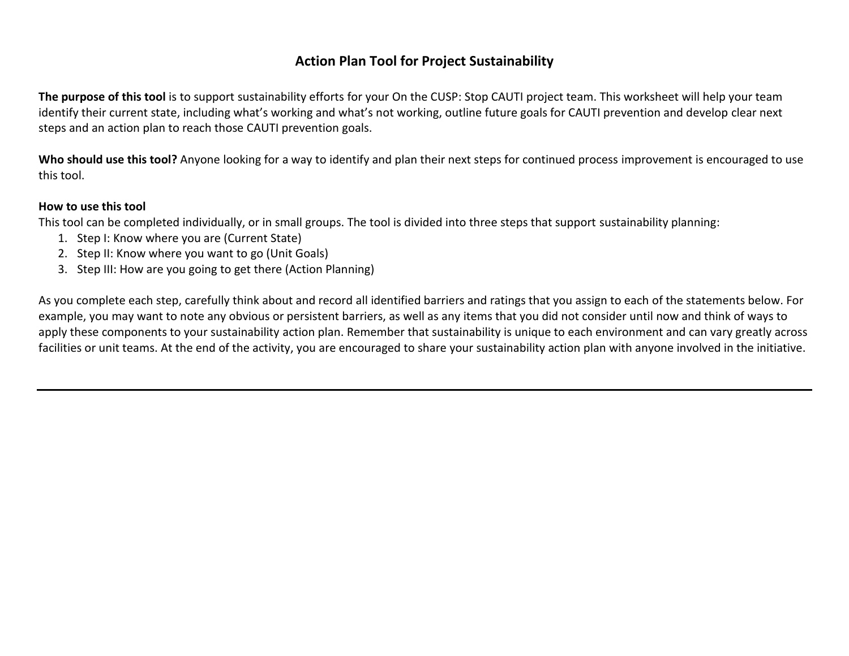**The purpose of this tool** is to support sustainability efforts for your On the CUSP: Stop CAUTI project team. This worksheet will help your team identify their current state, including what's working and what's not working, outline future goals for CAUTI prevention and develop clear next steps and an action plan to reach those CAUTI prevention goals.

Who should use this tool? Anyone looking for a way to identify and plan their next steps for continued process improvement is encouraged to use this tool.

#### **How to use this tool**

This tool can be completed individually, or in small groups. The tool is divided into three steps that support sustainability planning:

- 1. Step I: Know where you are (Current State)
- 2. Step II: Know where you want to go (Unit Goals)
- 3. Step III: How are you going to get there (Action Planning)

As you complete each step, carefully think about and record all identified barriers and ratings that you assign to each of the statements below. For example, you may want to note any obvious or persistent barriers, as well as any items that you did not consider until now and think of ways to apply these components to your sustainability action plan. Remember that sustainability is unique to each environment and can vary greatly across facilities or unit teams. At the end of the activity, you are encouraged to share your sustainability action plan with anyone involved in the initiative.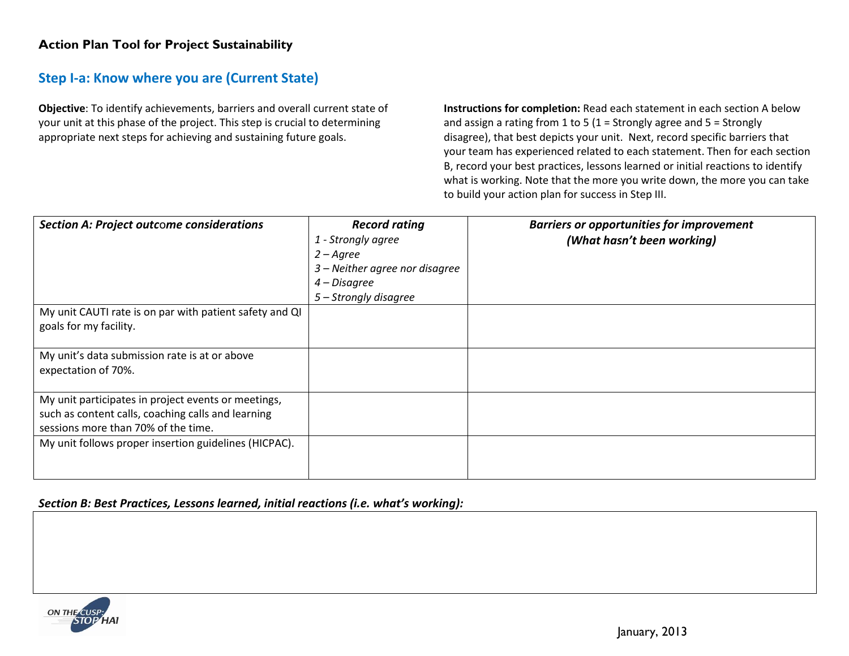## **Step I-a: Know where you are (Current State)**

**Objective**: To identify achievements, barriers and overall current state of your unit at this phase of the project. This step is crucial to determining appropriate next steps for achieving and sustaining future goals.

**Instructions for completion:** Read each statement in each section A below and assign a rating from 1 to 5 (1 = Strongly agree and 5 = Strongly disagree), that best depicts your unit. Next, record specific barriers that your team has experienced related to each statement. Then for each section B, record your best practices, lessons learned or initial reactions to identify what is working. Note that the more you write down, the more you can take to build your action plan for success in Step III.

| <b>Section A: Project outcome considerations</b>                                                                                                 | <b>Record rating</b><br>1 - Strongly agree<br>$2 - A$ gree<br>3 – Neither agree nor disagree<br>4 – Disagree<br>5 – Strongly disagree | <b>Barriers or opportunities for improvement</b><br>(What hasn't been working) |
|--------------------------------------------------------------------------------------------------------------------------------------------------|---------------------------------------------------------------------------------------------------------------------------------------|--------------------------------------------------------------------------------|
| My unit CAUTI rate is on par with patient safety and QI<br>goals for my facility.                                                                |                                                                                                                                       |                                                                                |
| My unit's data submission rate is at or above<br>expectation of 70%.                                                                             |                                                                                                                                       |                                                                                |
| My unit participates in project events or meetings,<br>such as content calls, coaching calls and learning<br>sessions more than 70% of the time. |                                                                                                                                       |                                                                                |
| My unit follows proper insertion guidelines (HICPAC).                                                                                            |                                                                                                                                       |                                                                                |

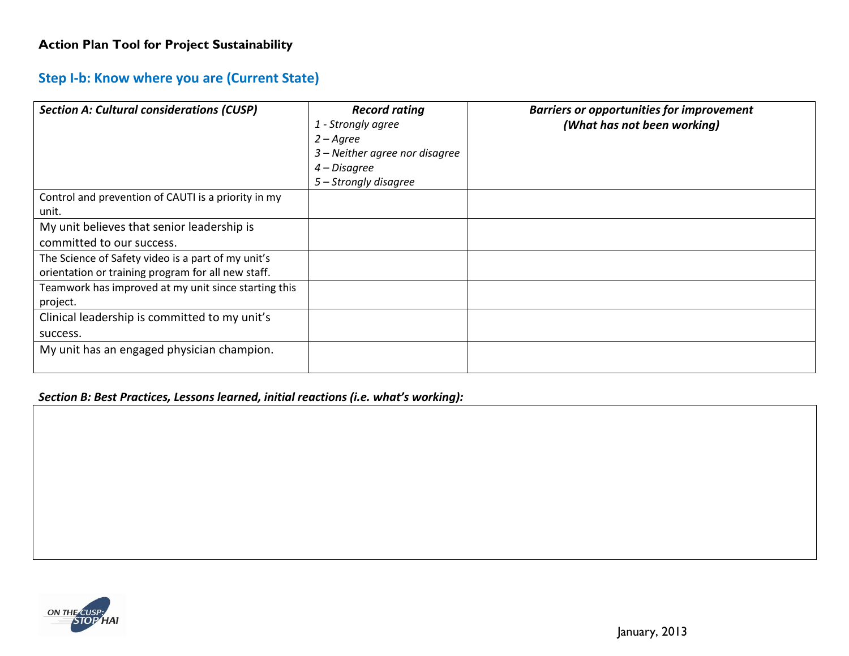# **Step I-b: Know where you are (Current State)**

| <b>Section A: Cultural considerations (CUSP)</b>     | <b>Record rating</b>           | <b>Barriers or opportunities for improvement</b> |
|------------------------------------------------------|--------------------------------|--------------------------------------------------|
|                                                      | 1 - Strongly agree             | (What has not been working)                      |
|                                                      | $2 - \text{Agree}$             |                                                  |
|                                                      | 3 – Neither agree nor disagree |                                                  |
|                                                      | 4 – Disagree                   |                                                  |
|                                                      | 5 – Strongly disagree          |                                                  |
| Control and prevention of CAUTI is a priority in my  |                                |                                                  |
| unit.                                                |                                |                                                  |
| My unit believes that senior leadership is           |                                |                                                  |
| committed to our success.                            |                                |                                                  |
| The Science of Safety video is a part of my unit's   |                                |                                                  |
| orientation or training program for all new staff.   |                                |                                                  |
| Teamwork has improved at my unit since starting this |                                |                                                  |
| project.                                             |                                |                                                  |
| Clinical leadership is committed to my unit's        |                                |                                                  |
| success.                                             |                                |                                                  |
| My unit has an engaged physician champion.           |                                |                                                  |
|                                                      |                                |                                                  |

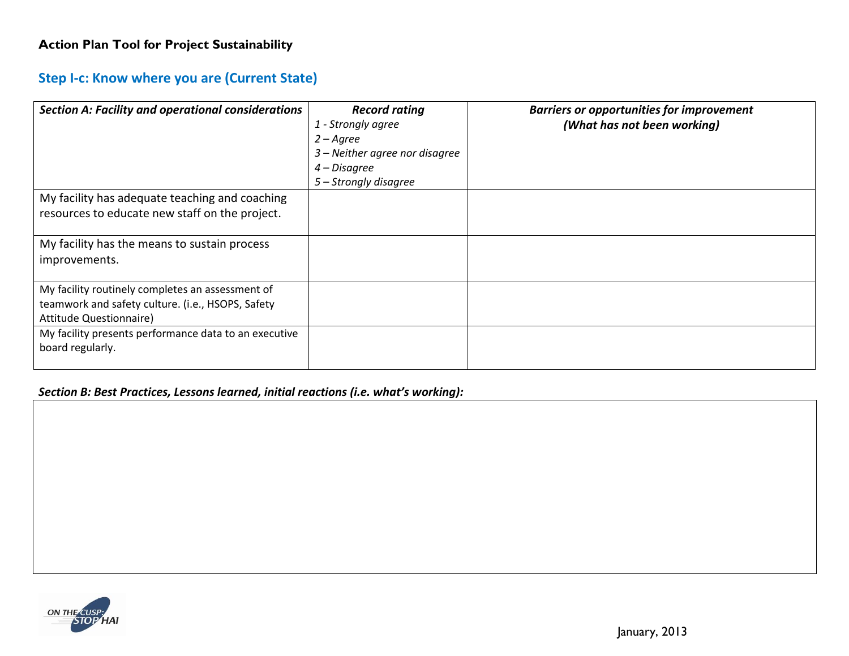# **Step I-c: Know where you are (Current State)**

| <b>Section A: Facility and operational considerations</b>                                                                               | <b>Record rating</b><br>1 - Strongly agree<br>$2 - A$ gree<br>3 – Neither agree nor disagree<br>4 – Disagree<br>5 – Strongly disagree | <b>Barriers or opportunities for improvement</b><br>(What has not been working) |
|-----------------------------------------------------------------------------------------------------------------------------------------|---------------------------------------------------------------------------------------------------------------------------------------|---------------------------------------------------------------------------------|
| My facility has adequate teaching and coaching<br>resources to educate new staff on the project.                                        |                                                                                                                                       |                                                                                 |
| My facility has the means to sustain process<br>improvements.                                                                           |                                                                                                                                       |                                                                                 |
| My facility routinely completes an assessment of<br>teamwork and safety culture. (i.e., HSOPS, Safety<br><b>Attitude Questionnaire)</b> |                                                                                                                                       |                                                                                 |
| My facility presents performance data to an executive<br>board regularly.                                                               |                                                                                                                                       |                                                                                 |

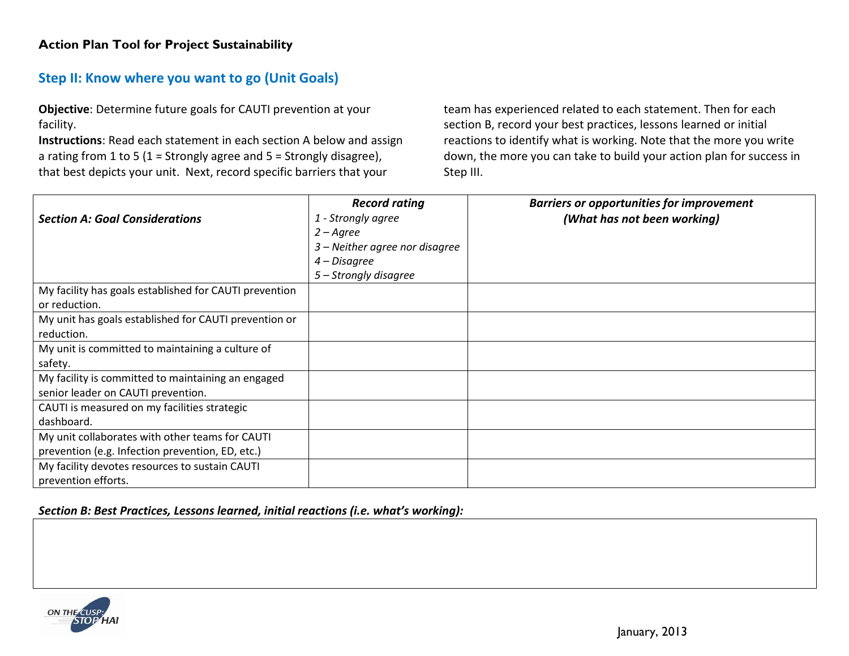# **Step II: Know where you want to go (Unit Goals)**

**Objective**: Determine future goals for CAUTI prevention at your facility.

**Instructions**: Read each statement in each section A below and assign a rating from 1 to 5 (1 = Strongly agree and  $5$  = Strongly disagree), that best depicts your unit. Next, record specific barriers that your

team has experienced related to each statement. Then for each section B, record your best practices, lessons learned or initial reactions to identify what is working. Note that the more you write down, the more you can take to build your action plan for success in Step III.

|                                                        | <b>Record rating</b>           | <b>Barriers or opportunities for improvement</b> |
|--------------------------------------------------------|--------------------------------|--------------------------------------------------|
| <b>Section A: Goal Considerations</b>                  | 1 - Strongly agree             | (What has not been working)                      |
|                                                        | $2 - A$ gree                   |                                                  |
|                                                        | 3 – Neither agree nor disagree |                                                  |
|                                                        | 4 – Disagree                   |                                                  |
|                                                        | 5 – Strongly disagree          |                                                  |
| My facility has goals established for CAUTI prevention |                                |                                                  |
| or reduction.                                          |                                |                                                  |
| My unit has goals established for CAUTI prevention or  |                                |                                                  |
| reduction.                                             |                                |                                                  |
| My unit is committed to maintaining a culture of       |                                |                                                  |
| safety.                                                |                                |                                                  |
| My facility is committed to maintaining an engaged     |                                |                                                  |
| senior leader on CAUTI prevention.                     |                                |                                                  |
| CAUTI is measured on my facilities strategic           |                                |                                                  |
| dashboard.                                             |                                |                                                  |
| My unit collaborates with other teams for CAUTI        |                                |                                                  |
| prevention (e.g. Infection prevention, ED, etc.)       |                                |                                                  |
| My facility devotes resources to sustain CAUTI         |                                |                                                  |
| prevention efforts.                                    |                                |                                                  |

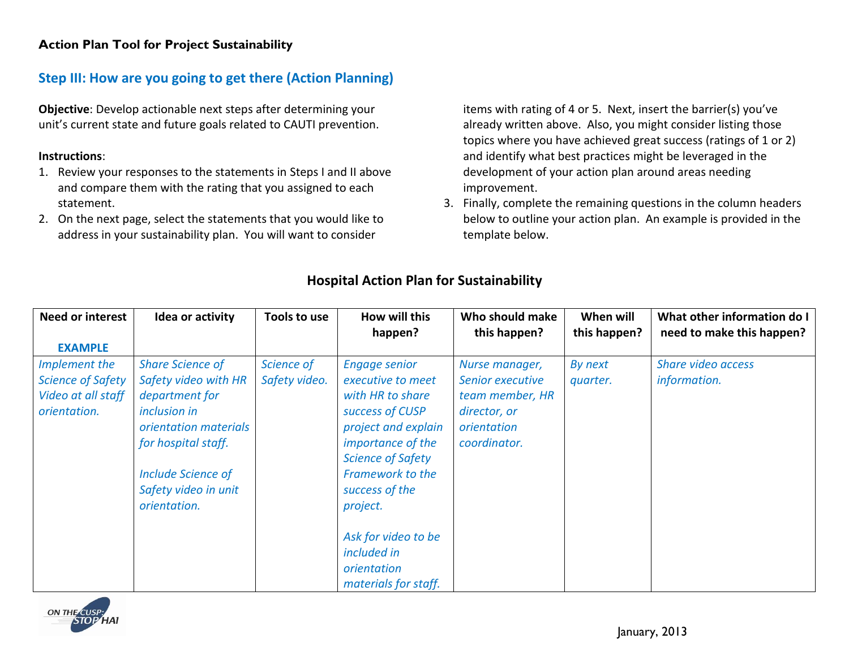## **Step III: How are you going to get there (Action Planning)**

**Objective**: Develop actionable next steps after determining your unit's current state and future goals related to CAUTI prevention.

#### **Instructions**:

- 1. Review your responses to the statements in Steps I and II above and compare them with the rating that you assigned to each statement.
- 2. On the next page, select the statements that you would like to address in your sustainability plan. You will want to consider

items with rating of 4 or 5. Next, insert the barrier(s) you've already written above. Also, you might consider listing those topics where you have achieved great success (ratings of 1 or 2) and identify what best practices might be leveraged in the development of your action plan around areas needing improvement.

3. Finally, complete the remaining questions in the column headers below to outline your action plan. An example is provided in the template below.

| <b>Need or interest</b>                                                         | Idea or activity                                                                                                                                                                                              | Tools to use                | How will this<br>happen?                                                                                                                                                                                                                                                                                                          | Who should make<br>this happen?                                                                      | When will<br>this happen? | What other information do I<br>need to make this happen? |
|---------------------------------------------------------------------------------|---------------------------------------------------------------------------------------------------------------------------------------------------------------------------------------------------------------|-----------------------------|-----------------------------------------------------------------------------------------------------------------------------------------------------------------------------------------------------------------------------------------------------------------------------------------------------------------------------------|------------------------------------------------------------------------------------------------------|---------------------------|----------------------------------------------------------|
| <b>EXAMPLE</b>                                                                  |                                                                                                                                                                                                               |                             |                                                                                                                                                                                                                                                                                                                                   |                                                                                                      |                           |                                                          |
| Implement the<br><b>Science of Safety</b><br>Video at all staff<br>orientation. | <b>Share Science of</b><br>Safety video with HR<br>department for<br><i>inclusion in</i><br>orientation materials<br>for hospital staff.<br><b>Include Science of</b><br>Safety video in unit<br>orientation. | Science of<br>Safety video. | <b>Engage senior</b><br>executive to meet<br>with HR to share<br>success of CUSP<br>project and explain<br><i>importance of the</i><br><b>Science of Safety</b><br><b>Framework to the</b><br>success of the<br>project.<br>Ask for video to be<br><i>included in</i><br><i><u><b>orientation</b></u></i><br>materials for staff. | Nurse manager,<br>Senior executive<br>team member, HR<br>director, or<br>orientation<br>coordinator. | By next<br>quarter.       | Share video access<br>information.                       |

## **Hospital Action Plan for Sustainability**